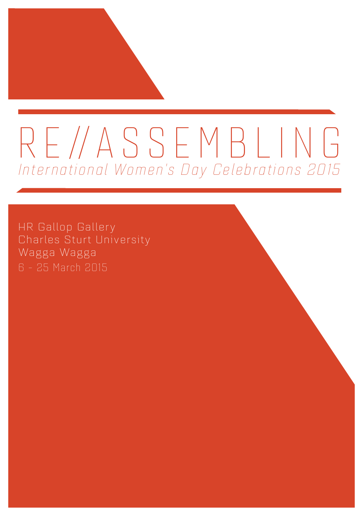# R E // A S S E M B L I N G International Women's Day Celebrations 2015

Wagga Wagga 6 - 25 March 2015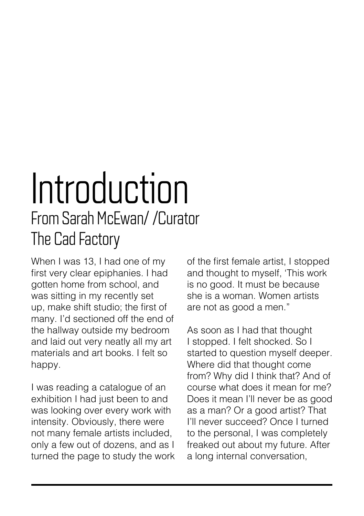# Introduction From Sarah McEwan/ /Curator The Cad Factory

When I was 13, I had one of my first very clear epiphanies. I had gotten home from school, and was sitting in my recently set up, make shift studio; the first of many. I'd sectioned off the end of the hallway outside my bedroom and laid out very neatly all my art materials and art books. I felt so happy.

I was reading a catalogue of an exhibition I had just been to and was looking over every work with intensity. Obviously, there were not many female artists included, only a few out of dozens, and as I turned the page to study the work of the first female artist, I stopped and thought to myself, 'This work is no good. It must be because she is a woman. Women artists are not as good a men."

As soon as I had that thought I stopped. I felt shocked. So I started to question myself deeper. Where did that thought come from? Why did I think that? And of course what does it mean for me? Does it mean I'll never be as good as a man? Or a good artist? That I'll never succeed? Once I turned to the personal, I was completely freaked out about my future. After a long internal conversation,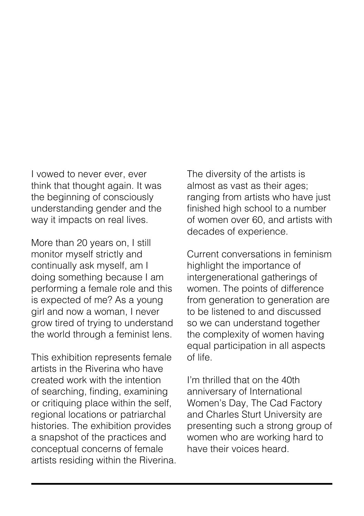I vowed to never ever, ever think that thought again. It was the beginning of consciously understanding gender and the way it impacts on real lives.

More than 20 years on, I still monitor myself strictly and continually ask myself, am I doing something because I am performing a female role and this is expected of me? As a young girl and now a woman, I never grow tired of trying to understand the world through a feminist lens.

This exhibition represents female artists in the Riverina who have created work with the intention of searching, finding, examining or critiquing place within the self, regional locations or patriarchal histories. The exhibition provides a snapshot of the practices and conceptual concerns of female artists residing within the Riverina. The diversity of the artists is almost as vast as their ages; ranging from artists who have just finished high school to a number of women over 60, and artists with decades of experience.

Current conversations in feminism highlight the importance of intergenerational gatherings of women. The points of difference from generation to generation are to be listened to and discussed so we can understand together the complexity of women having equal participation in all aspects of life.

I'm thrilled that on the 40th anniversary of International Women's Day, The Cad Factory and Charles Sturt University are presenting such a strong group of women who are working hard to have their voices heard.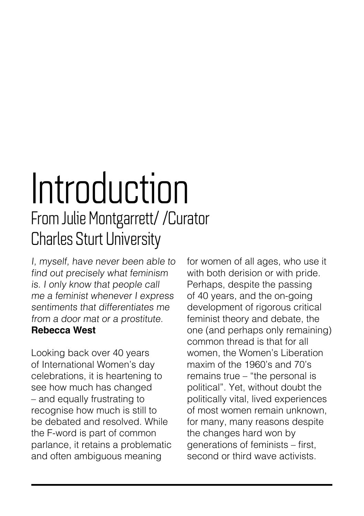# Introduction From Julie Montgarrett/ /Curator Charles Sturt University

I, myself, have never been able to find out precisely what feminism is. I only know that people call me a feminist whenever I express sentiments that differentiates me from a door mat or a prostitute. **Rebecca West**

Looking back over 40 years of International Women's day celebrations, it is heartening to see how much has changed – and equally frustrating to recognise how much is still to be debated and resolved. While the F-word is part of common parlance, it retains a problematic and often ambiguous meaning

for women of all ages, who use it with both derision or with pride. Perhaps, despite the passing of 40 years, and the on-going development of rigorous critical feminist theory and debate, the one (and perhaps only remaining) common thread is that for all women, the Women's Liberation maxim of the 1960's and 70's remains true – "the personal is political". Yet, without doubt the politically vital, lived experiences of most women remain unknown, for many, many reasons despite the changes hard won by generations of feminists – first, second or third wave activists.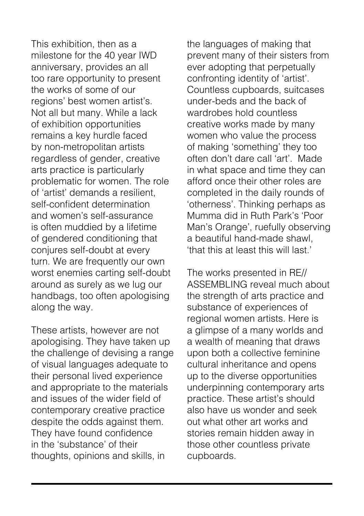This exhibition, then as a milestone for the 40 year IWD anniversary, provides an all too rare opportunity to present the works of some of our regions' best women artist's. Not all but many. While a lack of exhibition opportunities remains a key hurdle faced by non-metropolitan artists regardless of gender, creative arts practice is particularly problematic for women. The role of 'artist' demands a resilient, self-confident determination and women's self-assurance is often muddied by a lifetime of gendered conditioning that conjures self-doubt at every turn. We are frequently our own worst enemies carting self-doubt around as surely as we lug our handbags, too often apologising along the way.

These artists, however are not apologising. They have taken up the challenge of devising a range of visual languages adequate to their personal lived experience and appropriate to the materials and issues of the wider field of contemporary creative practice despite the odds against them. They have found confidence in the 'substance' of their thoughts, opinions and skills, in

the languages of making that prevent many of their sisters from ever adopting that perpetually confronting identity of 'artist'. Countless cupboards, suitcases under-beds and the back of wardrobes hold countless creative works made by many women who value the process of making 'something' they too often don't dare call 'art'. Made in what space and time they can afford once their other roles are completed in the daily rounds of 'otherness'. Thinking perhaps as Mumma did in Ruth Park's 'Poor Man's Orange', ruefully observing a beautiful hand-made shawl, 'that this at least this will last.'

The works presented in RE// ASSEMBLING reveal much about the strength of arts practice and substance of experiences of regional women artists. Here is a glimpse of a many worlds and a wealth of meaning that draws upon both a collective feminine cultural inheritance and opens up to the diverse opportunities underpinning contemporary arts practice. These artist's should also have us wonder and seek out what other art works and stories remain hidden away in those other countless private cupboards.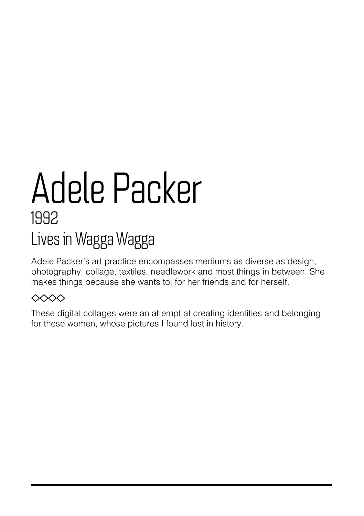# Adele Packer 1992 Lives in Wagga Wagga

Adele Packer's art practice encompasses mediums as diverse as design, photography, collage, textiles, needlework and most things in between. She makes things because she wants to; for her friends and for herself.

#### 

These digital collages were an attempt at creating identities and belonging for these women, whose pictures I found lost in history.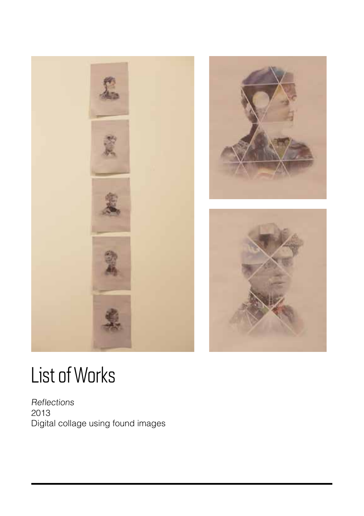

Reflections 2013 Digital collage using found images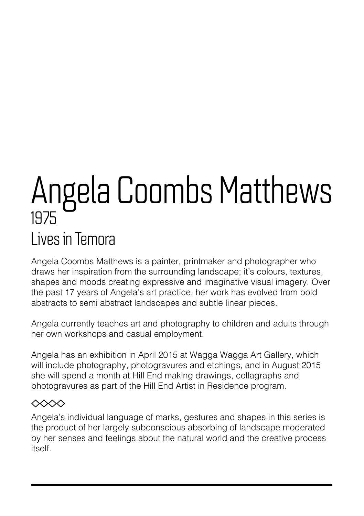## Angela Coombs Matthews 1975 Lives in Temora

Angela Coombs Matthews is a painter, printmaker and photographer who draws her inspiration from the surrounding landscape; it's colours, textures, shapes and moods creating expressive and imaginative visual imagery. Over the past 17 years of Angela's art practice, her work has evolved from bold abstracts to semi abstract landscapes and subtle linear pieces.

Angela currently teaches art and photography to children and adults through her own workshops and casual employment.

Angela has an exhibition in April 2015 at Wagga Wagga Art Gallery, which will include photography, photogravures and etchings, and in August 2015 she will spend a month at Hill End making drawings, collagraphs and photogravures as part of the Hill End Artist in Residence program.

#### $\diamond\!\!\!\!\sim\!\!\!\!\sim\!\!\!\!\sim\!\!\!\!\sim\!\!\!\!\sim$

Angela's individual language of marks, gestures and shapes in this series is the product of her largely subconscious absorbing of landscape moderated by her senses and feelings about the natural world and the creative process itself.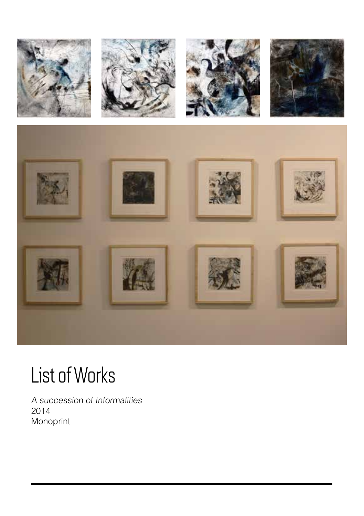

A succession of Informalities 2014 Monoprint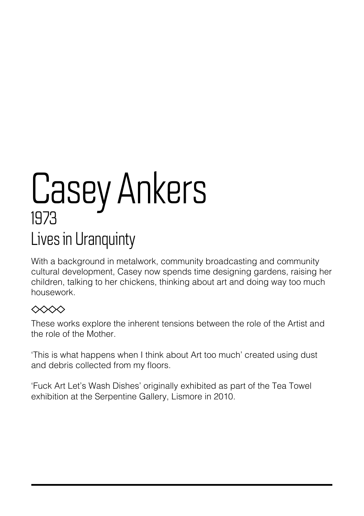# Casey Ankers 1973 Lives in Uranquinty

With a background in metalwork, community broadcasting and community cultural development, Casey now spends time designing gardens, raising her children, talking to her chickens, thinking about art and doing way too much housework.

#### $\left\langle \left\langle \left\langle \right\rangle \left\langle \right\rangle \right\rangle \right\rangle$

These works explore the inherent tensions between the role of the Artist and the role of the Mother.

'This is what happens when I think about Art too much' created using dust and debris collected from my floors.

'Fuck Art Let's Wash Dishes' originally exhibited as part of the Tea Towel exhibition at the Serpentine Gallery, Lismore in 2010.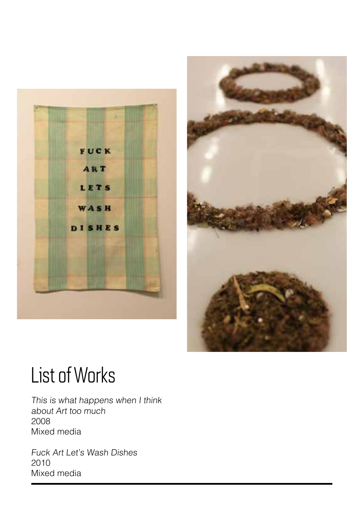



This is what happens when I think about Art too much 2008 Mixed media

Fuck Art Let's Wash Dishes 2010 Mixed media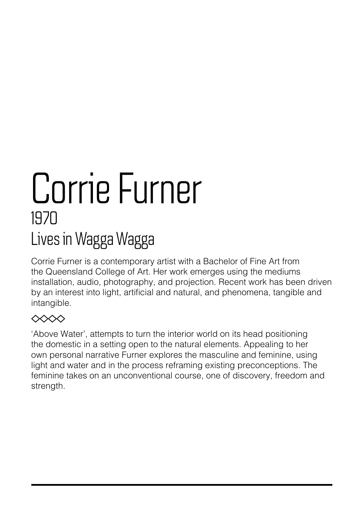# Corrie Furner 1970 Lives in Wagga Wagga

Corrie Furner is a contemporary artist with a Bachelor of Fine Art from the Queensland College of Art. Her work emerges using the mediums installation, audio, photography, and projection. Recent work has been driven by an interest into light, artificial and natural, and phenomena, tangible and intangible.

#### $\diamond\!\!\!\!\sim\!\!\!\!\sim\!\!\!\!\sim\!\!\!\!\sim\!\!\!\!\sim$

'Above Water', attempts to turn the interior world on its head positioning the domestic in a setting open to the natural elements. Appealing to her own personal narrative Furner explores the masculine and feminine, using light and water and in the process reframing existing preconceptions. The feminine takes on an unconventional course, one of discovery, freedom and strength.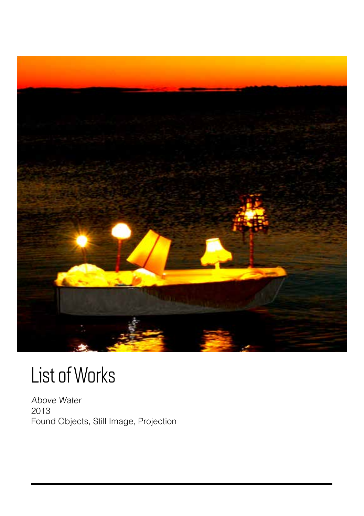

Above Water 2013 Found Objects, Still Image, Projection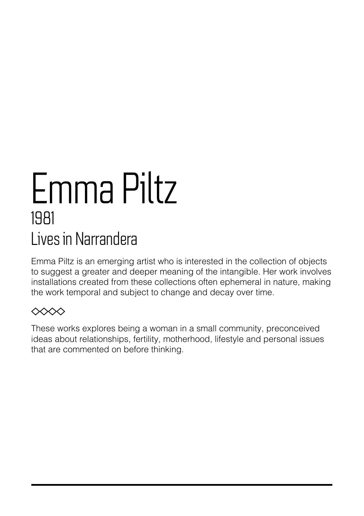# Emma Piltz 1981 Lives in Narrandera

Emma Piltz is an emerging artist who is interested in the collection of objects to suggest a greater and deeper meaning of the intangible. Her work involves installations created from these collections often ephemeral in nature, making the work temporal and subject to change and decay over time.

#### 

These works explores being a woman in a small community, preconceived ideas about relationships, fertility, motherhood, lifestyle and personal issues that are commented on before thinking.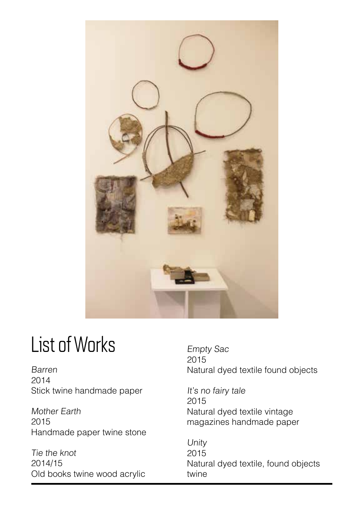

Barren 2014 Stick twine handmade paper

Mother Earth 2015 Handmade paper twine stone

Tie the knot 2014/15 Old books twine wood acrylic

Empty Sac 2015 Natural dyed textile found objects

It's no fairy tale 2015 Natural dyed textile vintage magazines handmade paper

Unity 2015 Natural dyed textile, found objects twine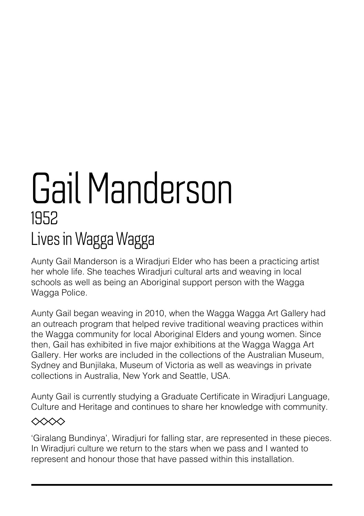# Gail Manderson 1952 Lives in Wagga Wagga

Aunty Gail Manderson is a Wiradjuri Elder who has been a practicing artist her whole life. She teaches Wiradjuri cultural arts and weaving in local schools as well as being an Aboriginal support person with the Wagga Wagga Police.

Aunty Gail began weaving in 2010, when the Wagga Wagga Art Gallery had an outreach program that helped revive traditional weaving practices within the Wagga community for local Aboriginal Elders and young women. Since then, Gail has exhibited in five major exhibitions at the Wagga Wagga Art Gallery. Her works are included in the collections of the Australian Museum, Sydney and Bunjilaka, Museum of Victoria as well as weavings in private collections in Australia, New York and Seattle, USA.

Aunty Gail is currently studying a Graduate Certificate in Wiradjuri Language, Culture and Heritage and continues to share her knowledge with community.

#### $\diamond\!\!\!\!\diamond\!\!\!\!\diamond\!\!\!\!\diamond\!\!\!\!\diamond$

'Giralang Bundinya', Wiradjuri for falling star, are represented in these pieces. In Wiradjuri culture we return to the stars when we pass and I wanted to represent and honour those that have passed within this installation.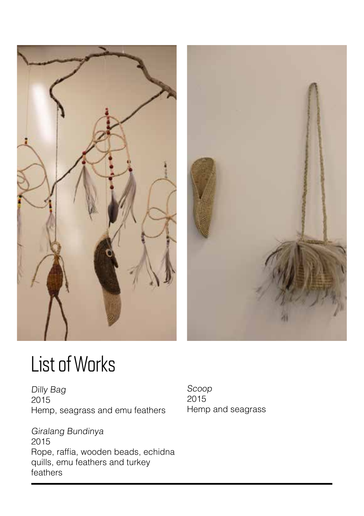



Dilly Bag 2015 Hemp, seagrass and emu feathers

Giralang Bundinya 2015 Rope, raffia, wooden beads, echidna quills, emu feathers and turkey feathers

Scoop 2015 Hemp and seagrass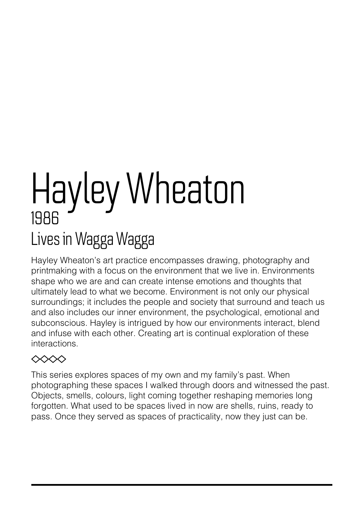# Hayley Wheaton 1986 Lives in Wagga Wagga

Hayley Wheaton's art practice encompasses drawing, photography and printmaking with a focus on the environment that we live in. Environments shape who we are and can create intense emotions and thoughts that ultimately lead to what we become. Environment is not only our physical surroundings; it includes the people and society that surround and teach us and also includes our inner environment, the psychological, emotional and subconscious. Hayley is intrigued by how our environments interact, blend and infuse with each other. Creating art is continual exploration of these interactions.

#### $\otimes \otimes \otimes$

This series explores spaces of my own and my family's past. When photographing these spaces I walked through doors and witnessed the past. Objects, smells, colours, light coming together reshaping memories long forgotten. What used to be spaces lived in now are shells, ruins, ready to pass. Once they served as spaces of practicality, now they just can be.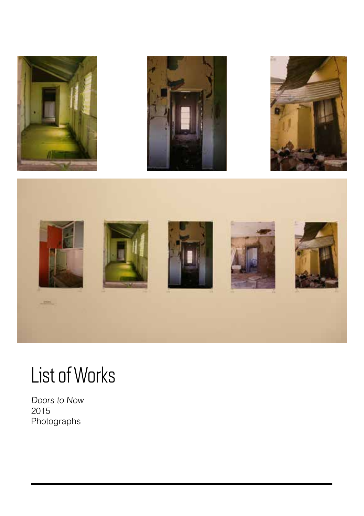







Doors to Now 2015 Photographs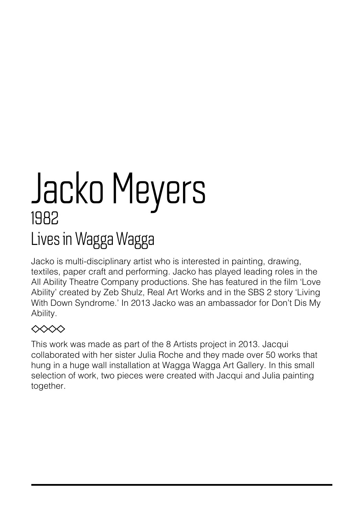# Jacko Meyers 1982 Lives in Wagga Wagga

Jacko is multi-disciplinary artist who is interested in painting, drawing, textiles, paper craft and performing. Jacko has played leading roles in the All Ability Theatre Company productions. She has featured in the film 'Love Ability' created by Zeb Shulz, Real Art Works and in the SBS 2 story 'Living With Down Syndrome.' In 2013 Jacko was an ambassador for Don't Dis My Ability.

#### $\diamond\!\!\!\!\diamond\!\!\!\!\diamond\!\!\!\!\diamond\!\!\!\!\diamond$

This work was made as part of the 8 Artists project in 2013. Jacqui collaborated with her sister Julia Roche and they made over 50 works that hung in a huge wall installation at Wagga Wagga Art Gallery. In this small selection of work, two pieces were created with Jacqui and Julia painting together.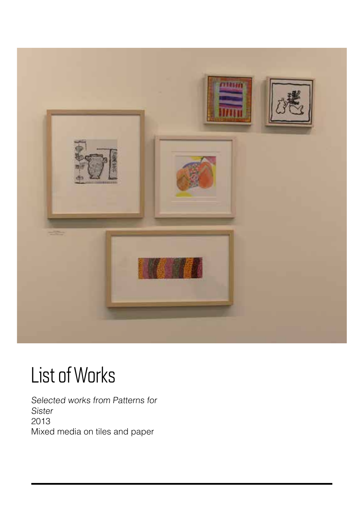

Selected works from Patterns for Sister 2013 Mixed media on tiles and paper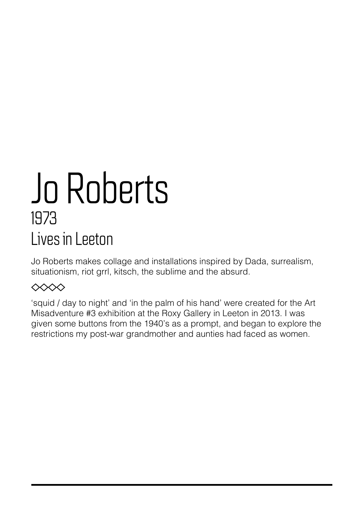# Jo Roberts 1973 Lives in Leeton

Jo Roberts makes collage and installations inspired by Dada, surrealism, situationism, riot grrl, kitsch, the sublime and the absurd.

#### $\diamond\!\!\!\!\!\diamond\!\!\!\!\!\!\!\diamond\!\!\!\!\!\circ\!\!\!\!\circ\!\!\!\!\circ\!\!\!\!\circ\!\!\!\!\circ$

'squid / day to night' and 'in the palm of his hand' were created for the Art Misadventure #3 exhibition at the Roxy Gallery in Leeton in 2013. I was given some buttons from the 1940's as a prompt, and began to explore the restrictions my post-war grandmother and aunties had faced as women.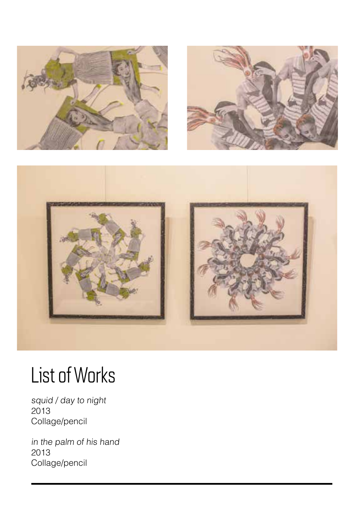





squid / day to night 2013 Collage/pencil

in the palm of his hand 2013 Collage/pencil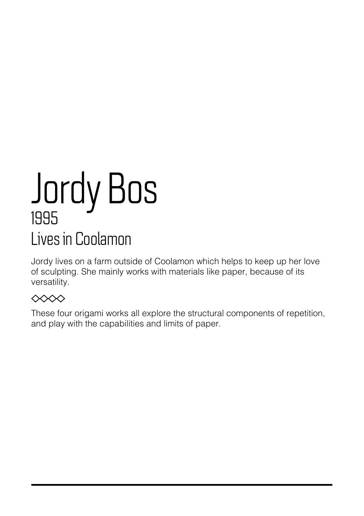# Jordy Bos 1995 Lives in Coolamon

Jordy lives on a farm outside of Coolamon which helps to keep up her love of sculpting. She mainly works with materials like paper, because of its versatility.

#### $\diamond\!\!\!\triangle\!\!\!\diamond\!\!\!\triangle\!\!\!\triangle$

These four origami works all explore the structural components of repetition, and play with the capabilities and limits of paper.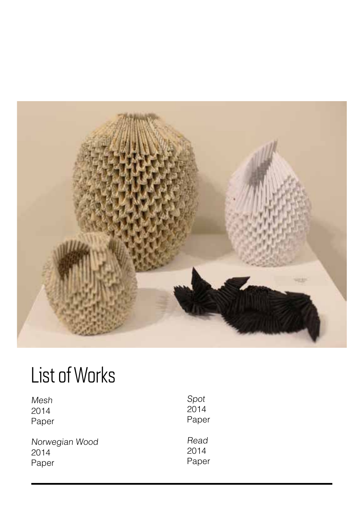

Mesh 2014 Paper Norwegian Wood 2014 Paper

Spot 2014 Paper Read 2014

Paper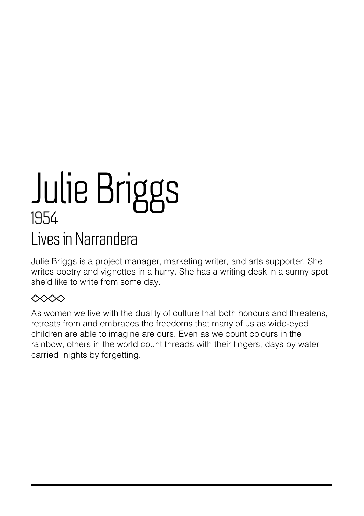# Julie Briggs 1954 Lives in Narrandera

Julie Briggs is a project manager, marketing writer, and arts supporter. She writes poetry and vignettes in a hurry. She has a writing desk in a sunny spot she'd like to write from some day.

#### 

As women we live with the duality of culture that both honours and threatens, retreats from and embraces the freedoms that many of us as wide-eyed children are able to imagine are ours. Even as we count colours in the rainbow, others in the world count threads with their fingers, days by water carried, nights by forgetting.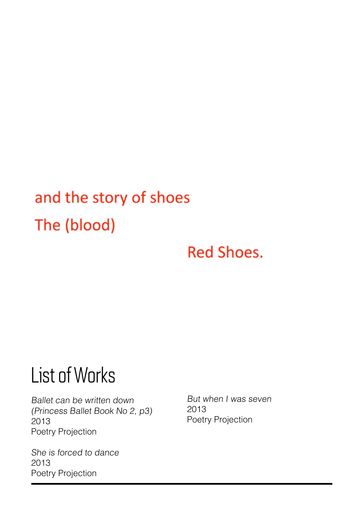### and the story of shoes The (blood)

#### **Red Shoes.**

## List of Works

Ballet can be written down (Princess Ballet Book No 2, p3) 2013 Poetry Projection

She is forced to dance 2013 Poetry Projection

But when I was seven 2013 Poetry Projection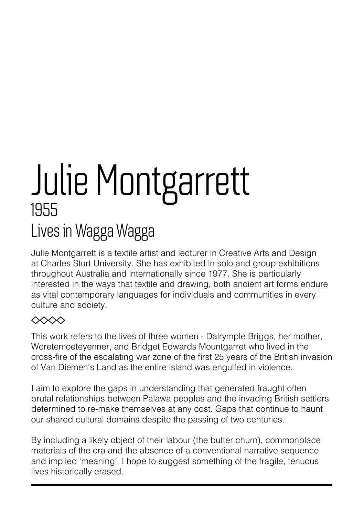# Julie Montgarrett 1955 Lives in Wagga Wagga

Julie Montgarrett is a textile artist and lecturer in Creative Arts and Design at Charles Sturt University. She has exhibited in solo and group exhibitions throughout Australia and internationally since 1977. She is particularly interested in the ways that textile and drawing, both ancient art forms endure as vital contemporary languages for individuals and communities in every culture and society.

#### $\leftrightarrow\leftrightarrow$

This work refers to the lives of three women - Dalrymple Briggs, her mother, Woretemoeteyenner, and Bridget Edwards Mountgarret who lived in the cross-fire of the escalating war zone of the first 25 years of the British invasion of Van Diemen's Land as the entire island was engulfed in violence.

I aim to explore the gaps in understanding that generated fraught often brutal relationships between Palawa peoples and the invading British settlers determined to re-make themselves at any cost. Gaps that continue to haunt our shared cultural domains despite the passing of two centuries.

By including a likely object of their labour (the butter churn), commonplace materials of the era and the absence of a conventional narrative sequence and implied 'meaning', I hope to suggest something of the fragile, tenuous lives historically erased.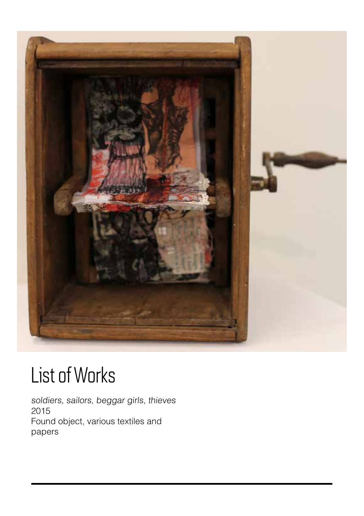

soldiers, sailors, beggar girls, thieves 2015 Found object, various textiles and papers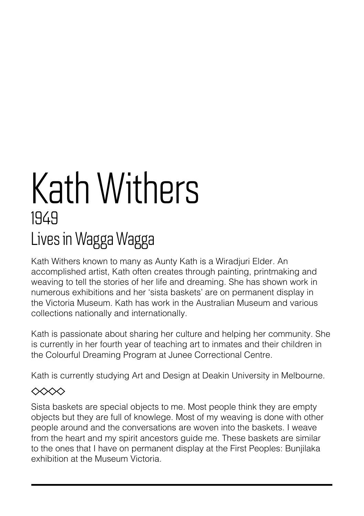# Kath Withers 1949 Lives in Wagga Wagga

Kath Withers known to many as Aunty Kath is a Wiradjuri Elder. An accomplished artist, Kath often creates through painting, printmaking and weaving to tell the stories of her life and dreaming. She has shown work in numerous exhibitions and her 'sista baskets' are on permanent display in the Victoria Museum. Kath has work in the Australian Museum and various collections nationally and internationally.

Kath is passionate about sharing her culture and helping her community. She is currently in her fourth year of teaching art to inmates and their children in the Colourful Dreaming Program at Junee Correctional Centre.

Kath is currently studying Art and Design at Deakin University in Melbourne.

#### 

Sista baskets are special objects to me. Most people think they are empty objects but they are full of knowlege. Most of my weaving is done with other people around and the conversations are woven into the baskets. I weave from the heart and my spirit ancestors guide me. These baskets are similar to the ones that I have on permanent display at the First Peoples: Bunjilaka exhibition at the Museum Victoria.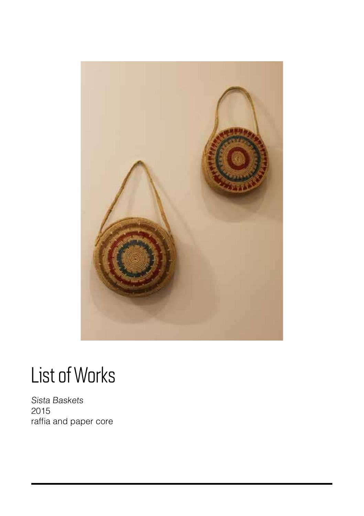

Sista Baskets 2015 raffia and paper core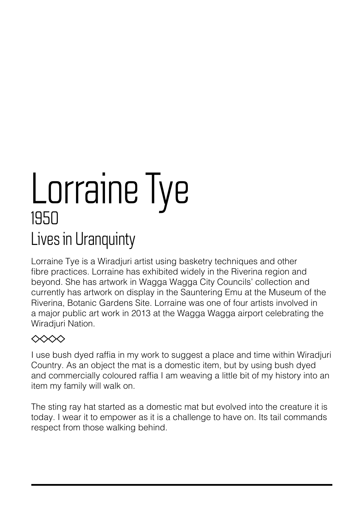# Lorraine Tye 1950 Lives in Uranquinty

Lorraine Tye is a Wiradjuri artist using basketry techniques and other fibre practices. Lorraine has exhibited widely in the Riverina region and beyond. She has artwork in Wagga Wagga City Councils' collection and currently has artwork on display in the Sauntering Emu at the Museum of the Riverina, Botanic Gardens Site. Lorraine was one of four artists involved in a major public art work in 2013 at the Wagga Wagga airport celebrating the Wiradjuri Nation.

#### 

I use bush dyed raffia in my work to suggest a place and time within Wiradjuri Country. As an object the mat is a domestic item, but by using bush dyed and commercially coloured raffia I am weaving a little bit of my history into an item my family will walk on.

The sting ray hat started as a domestic mat but evolved into the creature it is today. I wear it to empower as it is a challenge to have on. Its tail commands respect from those walking behind.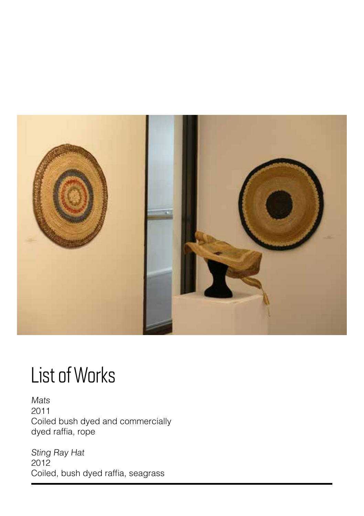

Mats 2011 Coiled bush dyed and commercially dyed raffia, rope

Sting Ray Hat 2012 Coiled, bush dyed raffia, seagrass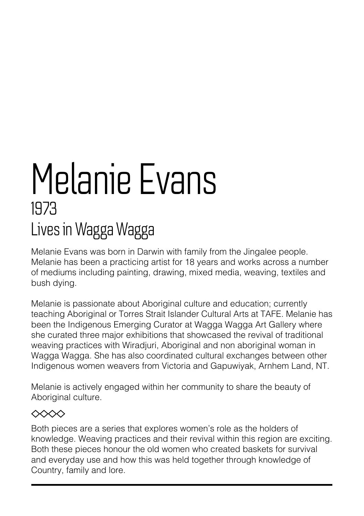# Melanie Evans 1973 Lives in Wagga Wagga

Melanie Evans was born in Darwin with family from the Jingalee people. Melanie has been a practicing artist for 18 years and works across a number of mediums including painting, drawing, mixed media, weaving, textiles and bush dying.

Melanie is passionate about Aboriginal culture and education; currently teaching Aboriginal or Torres Strait Islander Cultural Arts at TAFE. Melanie has been the Indigenous Emerging Curator at Wagga Wagga Art Gallery where she curated three major exhibitions that showcased the revival of traditional weaving practices with Wiradjuri, Aboriginal and non aboriginal woman in Wagga Wagga. She has also coordinated cultural exchanges between other Indigenous women weavers from Victoria and Gapuwiyak, Arnhem Land, NT.

Melanie is actively engaged within her community to share the beauty of Aboriginal culture.

#### $\diamond\!\!\!\!\diamond\!\!\!\!\diamond\!\!\!\!\diamond\!\!\!\!\diamond\!\!\!\!\diamond$

Both pieces are a series that explores women's role as the holders of knowledge. Weaving practices and their revival within this region are exciting. Both these pieces honour the old women who created baskets for survival and everyday use and how this was held together through knowledge of Country, family and lore.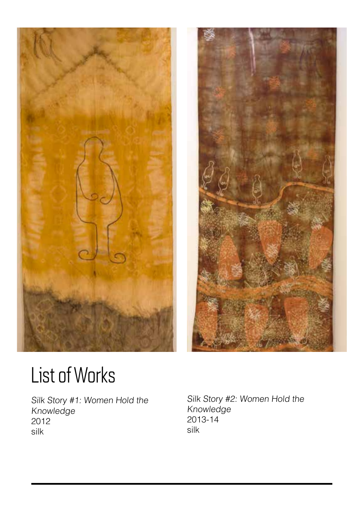



Silk Story #1: Women Hold the Knowledge 2012 silk

Silk Story #2: Women Hold the Knowledge 2013-14 silk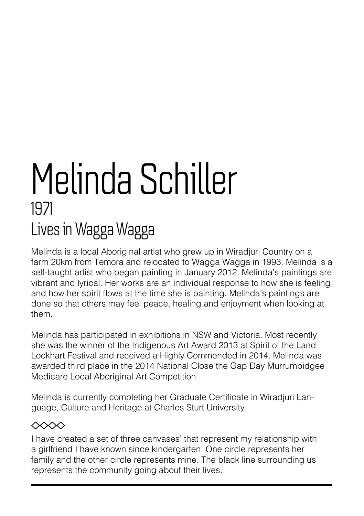# Melinda Schiller 1971 Lives in Wagga Wagga

Melinda is a local Aboriginal artist who grew up in Wiradjuri Country on a farm 20km from Temora and relocated to Wagga Wagga in 1993. Melinda is a self-taught artist who began painting in January 2012. Melinda's paintings are vibrant and lyrical. Her works are an individual response to how she is feeling and how her spirit flows at the time she is painting. Melinda's paintings are done so that others may feel peace, healing and enjoyment when looking at them.

Melinda has participated in exhibitions in NSW and Victoria. Most recently she was the winner of the Indigenous Art Award 2013 at Spirit of the Land Lockhart Festival and received a Highly Commended in 2014. Melinda was awarded third place in the 2014 National Close the Gap Day Murrumbidgee Medicare Local Aboriginal Art Competition.

Melinda is currently completing her Graduate Certificate in Wiradjuri Language, Culture and Heritage at Charles Sturt University.

#### $\diamond\!\!\!\rightsquigarrow\!\!\!\rightsquigarrow$

I have created a set of three canvases' that represent my relationship with a girlfriend I have known since kindergarten. One circle represents her family and the other circle represents mine. The black line surrounding us represents the community going about their lives.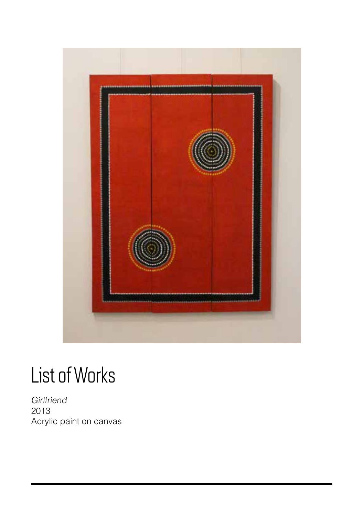

**Girlfriend** 2013 Acrylic paint on canvas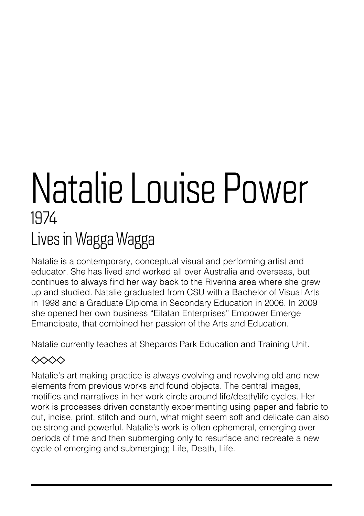# Natalie Louise Power 1974 Lives in Wagga Wagga

Natalie is a contemporary, conceptual visual and performing artist and educator. She has lived and worked all over Australia and overseas, but continues to always find her way back to the Riverina area where she grew up and studied. Natalie graduated from CSU with a Bachelor of Visual Arts in 1998 and a Graduate Diploma in Secondary Education in 2006. In 2009 she opened her own business "Eilatan Enterprises" Empower Emerge Emancipate, that combined her passion of the Arts and Education.

Natalie currently teaches at Shepards Park Education and Training Unit.

#### $\diamond\!\!\!\!\rightsquigarrow\!\!\!\rightsquigarrow$

Natalie's art making practice is always evolving and revolving old and new elements from previous works and found objects. The central images, motifies and narratives in her work circle around life/death/life cycles. Her work is processes driven constantly experimenting using paper and fabric to cut, incise, print, stitch and burn, what might seem soft and delicate can also be strong and powerful. Natalie's work is often ephemeral, emerging over periods of time and then submerging only to resurface and recreate a new cycle of emerging and submerging; Life, Death, Life.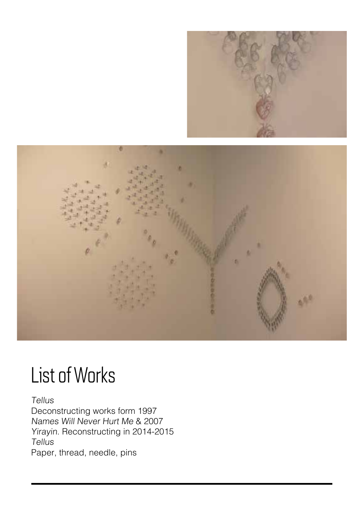



Tellus Deconstructing works form 1997 Names Will Never Hurt Me & 2007 Yirayin. Reconstructing in 2014-2015 **Tellus** Paper, thread, needle, pins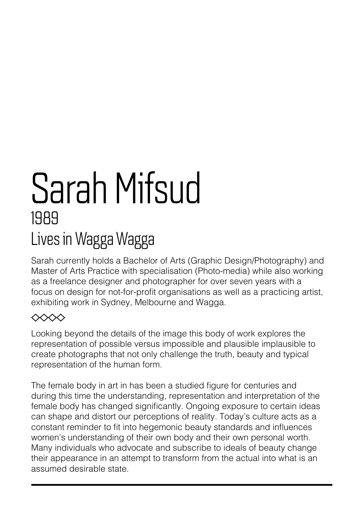# Sarah Mifsud 1989 Lives in Wagga Wagga

Sarah currently holds a Bachelor of Arts (Graphic Design/Photography) and Master of Arts Practice with specialisation (Photo-media) while also working as a freelance designer and photographer for over seven years with a focus on design for not-for-profit organisations as well as a practicing artist, exhibiting work in Sydney, Melbourne and Wagga.

#### $\rightsquigarrow \rightsquigarrow$

Looking beyond the details of the image this body of work explores the representation of possible versus impossible and plausible implausible to create photographs that not only challenge the truth, beauty and typical representation of the human form.

The female body in art in has been a studied figure for centuries and during this time the understanding, representation and interpretation of the female body has changed significantly. Ongoing exposure to certain ideas can shape and distort our perceptions of reality. Today's culture acts as a constant reminder to fit into hegemonic beauty standards and influences women's understanding of their own body and their own personal worth. Many individuals who advocate and subscribe to ideals of beauty change their appearance in an attempt to transform from the actual into what is an assumed desirable state.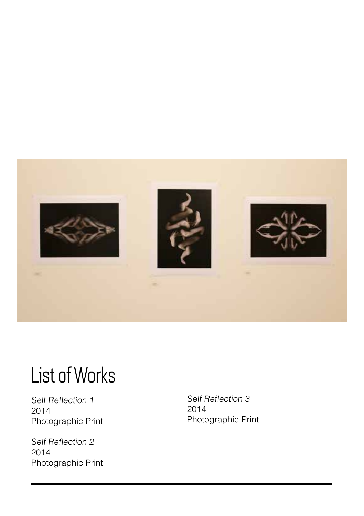

Self Reflection 1 2014 Photographic Print

Self Reflection 2 2014 Photographic Print Self Reflection 3 2014 Photographic Print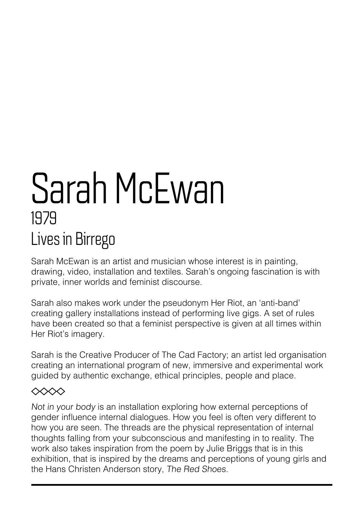# Sarah McEwan 1979 Lives in Birrego

Sarah McEwan is an artist and musician whose interest is in painting, drawing, video, installation and textiles. Sarah's ongoing fascination is with private, inner worlds and feminist discourse.

Sarah also makes work under the pseudonym Her Riot, an 'anti-band' creating gallery installations instead of performing live gigs. A set of rules have been created so that a feminist perspective is given at all times within Her Riot's imagery.

Sarah is the Creative Producer of The Cad Factory; an artist led organisation creating an international program of new, immersive and experimental work guided by authentic exchange, ethical principles, people and place.

#### 

Not in your body is an installation exploring how external perceptions of gender influence internal dialogues. How you feel is often very different to how you are seen. The threads are the physical representation of internal thoughts falling from your subconscious and manifesting in to reality. The work also takes inspiration from the poem by Julie Briggs that is in this exhibition, that is inspired by the dreams and perceptions of young girls and the Hans Christen Anderson story, The Red Shoes.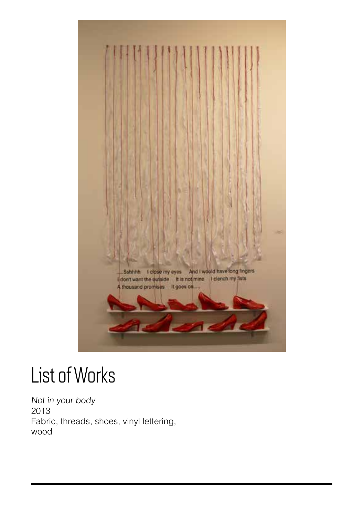

Not in your body 2013 Fabric, threads, shoes, vinyl lettering, wood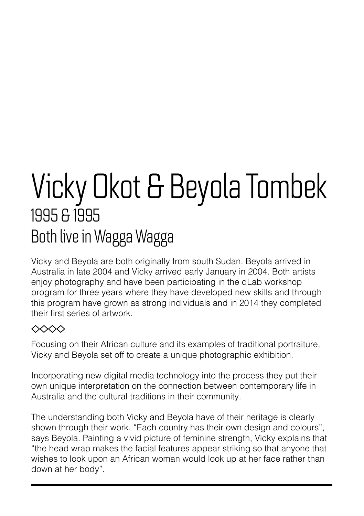## Vicky Okot & Beyola Tombek 1995 & 1995 Both live in Wagga Wagga

Vicky and Beyola are both originally from south Sudan. Beyola arrived in Australia in late 2004 and Vicky arrived early January in 2004. Both artists enjoy photography and have been participating in the dLab workshop program for three years where they have developed new skills and through this program have grown as strong individuals and in 2014 they completed their first series of artwork.

#### $\diamond\!\!\!\!\diamond\!\!\!\!\diamond\!\!\!\!\diamond\!\!\!\!\diamond$

Focusing on their African culture and its examples of traditional portraiture, Vicky and Beyola set off to create a unique photographic exhibition.

Incorporating new digital media technology into the process they put their own unique interpretation on the connection between contemporary life in Australia and the cultural traditions in their community.

The understanding both Vicky and Beyola have of their heritage is clearly shown through their work. "Each country has their own design and colours", says Beyola. Painting a vivid picture of feminine strength, Vicky explains that "the head wrap makes the facial features appear striking so that anyone that wishes to look upon an African woman would look up at her face rather than down at her body".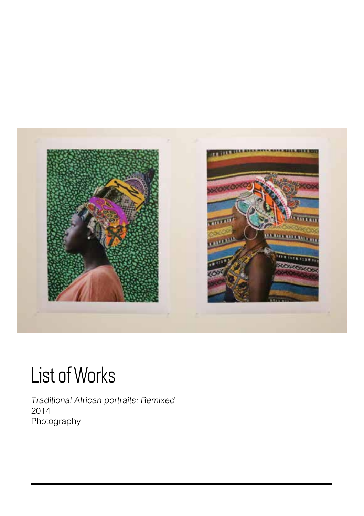

Traditional African portraits: Remixed 2014 Photography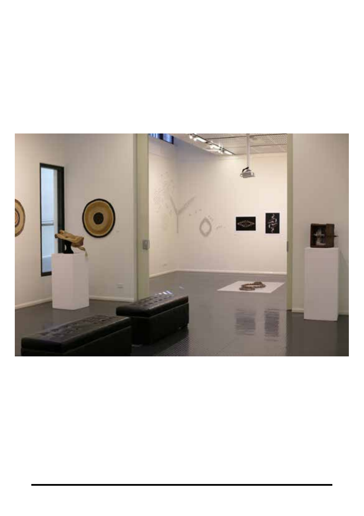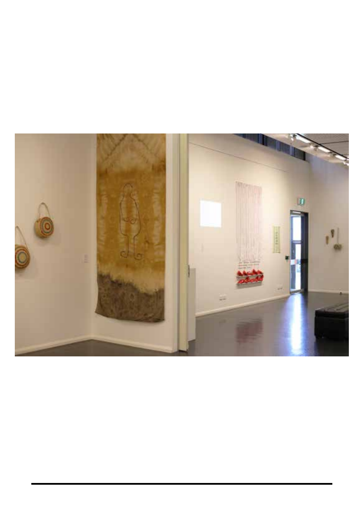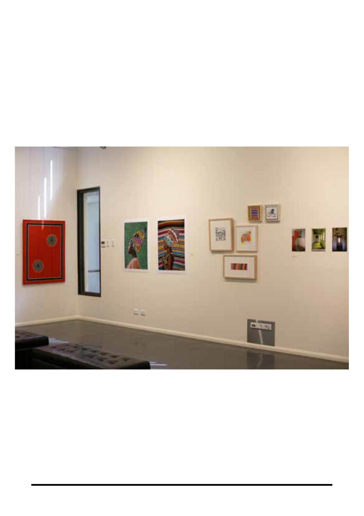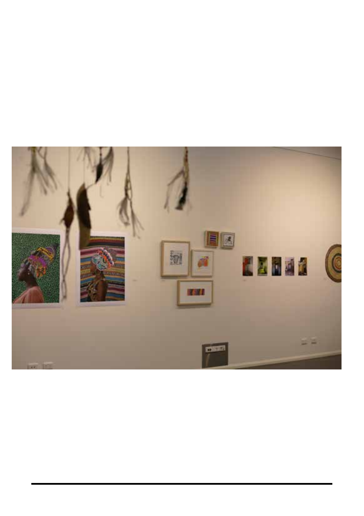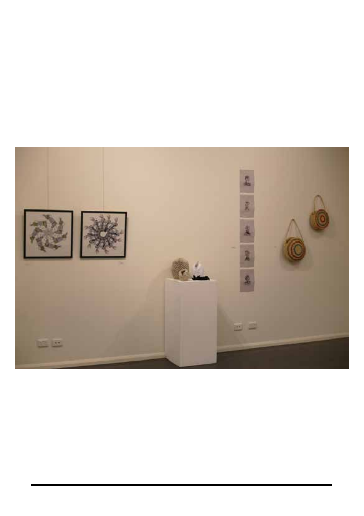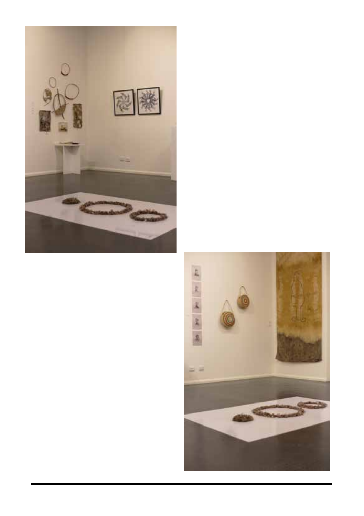